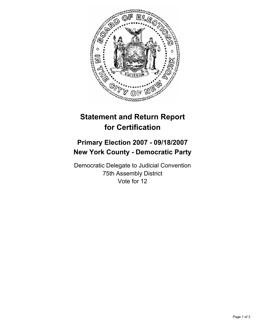

## **Statement and Return Report for Certification**

## **Primary Election 2007 - 09/18/2007 New York County - Democratic Party**

Democratic Delegate to Judicial Convention 75th Assembly District Vote for 12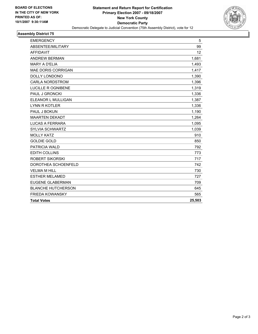

## **Assembly District 75**

| ABSENTEE/MILITARY<br>99<br><b>AFFIDAVIT</b><br>12<br><b>ANDREW BERMAN</b><br>1,681<br><b>MARY A D'ELIA</b><br>1,493<br>MAE DORIS CORRIGAN<br>1,417<br><b>DOLLY LONDONO</b><br>1,390<br><b>CARLA NORDSTROM</b><br>1,396<br>LUCILLE R OGNIBENE<br>1,319<br>PAUL J GRONCKI<br>1,336<br>ELEANOR L MULLIGAN<br>1,387<br><b>LYNN R KOTLER</b><br>1,336<br>PAUL J BOKUN<br>1,190<br><b>MAARTEN DEKADT</b><br>1,264<br><b>LUCAS A FERRARA</b><br>1,095<br><b>SYLVIA SCHWARTZ</b><br>1,039<br><b>MOLLY KATZ</b><br>910<br><b>GOLDIE GOLD</b><br>850<br><b>PATRICIA WALD</b><br>792<br><b>EDITH COLLINS</b><br>773<br><b>ROBERT SIKORSKI</b><br>717<br>DOROTHEA SCHOENFELD<br>742<br><b>VELMA M HILL</b><br>730<br><b>ESTHER MELAMED</b><br>727<br><b>EUGENE GLABERMAN</b><br>709<br><b>BLANCHE HUTCHERSON</b><br>645<br><b>FRIEDA KOWANSKY</b><br>565<br>25,503<br><b>Total Votes</b> | <b>EMERGENCY</b> | 5 |
|------------------------------------------------------------------------------------------------------------------------------------------------------------------------------------------------------------------------------------------------------------------------------------------------------------------------------------------------------------------------------------------------------------------------------------------------------------------------------------------------------------------------------------------------------------------------------------------------------------------------------------------------------------------------------------------------------------------------------------------------------------------------------------------------------------------------------------------------------------------------------|------------------|---|
|                                                                                                                                                                                                                                                                                                                                                                                                                                                                                                                                                                                                                                                                                                                                                                                                                                                                              |                  |   |
|                                                                                                                                                                                                                                                                                                                                                                                                                                                                                                                                                                                                                                                                                                                                                                                                                                                                              |                  |   |
|                                                                                                                                                                                                                                                                                                                                                                                                                                                                                                                                                                                                                                                                                                                                                                                                                                                                              |                  |   |
|                                                                                                                                                                                                                                                                                                                                                                                                                                                                                                                                                                                                                                                                                                                                                                                                                                                                              |                  |   |
|                                                                                                                                                                                                                                                                                                                                                                                                                                                                                                                                                                                                                                                                                                                                                                                                                                                                              |                  |   |
|                                                                                                                                                                                                                                                                                                                                                                                                                                                                                                                                                                                                                                                                                                                                                                                                                                                                              |                  |   |
|                                                                                                                                                                                                                                                                                                                                                                                                                                                                                                                                                                                                                                                                                                                                                                                                                                                                              |                  |   |
|                                                                                                                                                                                                                                                                                                                                                                                                                                                                                                                                                                                                                                                                                                                                                                                                                                                                              |                  |   |
|                                                                                                                                                                                                                                                                                                                                                                                                                                                                                                                                                                                                                                                                                                                                                                                                                                                                              |                  |   |
|                                                                                                                                                                                                                                                                                                                                                                                                                                                                                                                                                                                                                                                                                                                                                                                                                                                                              |                  |   |
|                                                                                                                                                                                                                                                                                                                                                                                                                                                                                                                                                                                                                                                                                                                                                                                                                                                                              |                  |   |
|                                                                                                                                                                                                                                                                                                                                                                                                                                                                                                                                                                                                                                                                                                                                                                                                                                                                              |                  |   |
|                                                                                                                                                                                                                                                                                                                                                                                                                                                                                                                                                                                                                                                                                                                                                                                                                                                                              |                  |   |
|                                                                                                                                                                                                                                                                                                                                                                                                                                                                                                                                                                                                                                                                                                                                                                                                                                                                              |                  |   |
|                                                                                                                                                                                                                                                                                                                                                                                                                                                                                                                                                                                                                                                                                                                                                                                                                                                                              |                  |   |
|                                                                                                                                                                                                                                                                                                                                                                                                                                                                                                                                                                                                                                                                                                                                                                                                                                                                              |                  |   |
|                                                                                                                                                                                                                                                                                                                                                                                                                                                                                                                                                                                                                                                                                                                                                                                                                                                                              |                  |   |
|                                                                                                                                                                                                                                                                                                                                                                                                                                                                                                                                                                                                                                                                                                                                                                                                                                                                              |                  |   |
|                                                                                                                                                                                                                                                                                                                                                                                                                                                                                                                                                                                                                                                                                                                                                                                                                                                                              |                  |   |
|                                                                                                                                                                                                                                                                                                                                                                                                                                                                                                                                                                                                                                                                                                                                                                                                                                                                              |                  |   |
|                                                                                                                                                                                                                                                                                                                                                                                                                                                                                                                                                                                                                                                                                                                                                                                                                                                                              |                  |   |
|                                                                                                                                                                                                                                                                                                                                                                                                                                                                                                                                                                                                                                                                                                                                                                                                                                                                              |                  |   |
|                                                                                                                                                                                                                                                                                                                                                                                                                                                                                                                                                                                                                                                                                                                                                                                                                                                                              |                  |   |
|                                                                                                                                                                                                                                                                                                                                                                                                                                                                                                                                                                                                                                                                                                                                                                                                                                                                              |                  |   |
|                                                                                                                                                                                                                                                                                                                                                                                                                                                                                                                                                                                                                                                                                                                                                                                                                                                                              |                  |   |
|                                                                                                                                                                                                                                                                                                                                                                                                                                                                                                                                                                                                                                                                                                                                                                                                                                                                              |                  |   |
|                                                                                                                                                                                                                                                                                                                                                                                                                                                                                                                                                                                                                                                                                                                                                                                                                                                                              |                  |   |